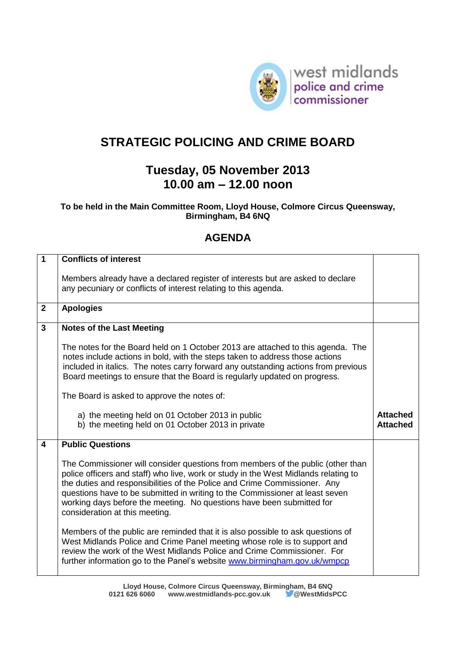

## **STRATEGIC POLICING AND CRIME BOARD**

## **Tuesday, 05 November 2013 10.00 am – 12.00 noon**

## **To be held in the Main Committee Room, Lloyd House, Colmore Circus Queensway, Birmingham, B4 6NQ**

## **AGENDA**

| $\overline{1}$          | <b>Conflicts of interest</b>                                                                                                                                                                                                                                                                                                                                                                                                                   |                                    |
|-------------------------|------------------------------------------------------------------------------------------------------------------------------------------------------------------------------------------------------------------------------------------------------------------------------------------------------------------------------------------------------------------------------------------------------------------------------------------------|------------------------------------|
|                         | Members already have a declared register of interests but are asked to declare<br>any pecuniary or conflicts of interest relating to this agenda.                                                                                                                                                                                                                                                                                              |                                    |
| $\overline{2}$          | <b>Apologies</b>                                                                                                                                                                                                                                                                                                                                                                                                                               |                                    |
| $\mathbf{3}$            | <b>Notes of the Last Meeting</b>                                                                                                                                                                                                                                                                                                                                                                                                               |                                    |
|                         | The notes for the Board held on 1 October 2013 are attached to this agenda. The<br>notes include actions in bold, with the steps taken to address those actions<br>included in italics. The notes carry forward any outstanding actions from previous<br>Board meetings to ensure that the Board is regularly updated on progress.                                                                                                             |                                    |
|                         | The Board is asked to approve the notes of:                                                                                                                                                                                                                                                                                                                                                                                                    |                                    |
|                         | a) the meeting held on 01 October 2013 in public<br>b) the meeting held on 01 October 2013 in private                                                                                                                                                                                                                                                                                                                                          | <b>Attached</b><br><b>Attached</b> |
| $\overline{\mathbf{A}}$ | <b>Public Questions</b>                                                                                                                                                                                                                                                                                                                                                                                                                        |                                    |
|                         | The Commissioner will consider questions from members of the public (other than<br>police officers and staff) who live, work or study in the West Midlands relating to<br>the duties and responsibilities of the Police and Crime Commissioner. Any<br>questions have to be submitted in writing to the Commissioner at least seven<br>working days before the meeting. No questions have been submitted for<br>consideration at this meeting. |                                    |
|                         | Members of the public are reminded that it is also possible to ask questions of<br>West Midlands Police and Crime Panel meeting whose role is to support and<br>review the work of the West Midlands Police and Crime Commissioner. For<br>further information go to the Panel's website www.birmingham.gov.uk/wmpcp                                                                                                                           |                                    |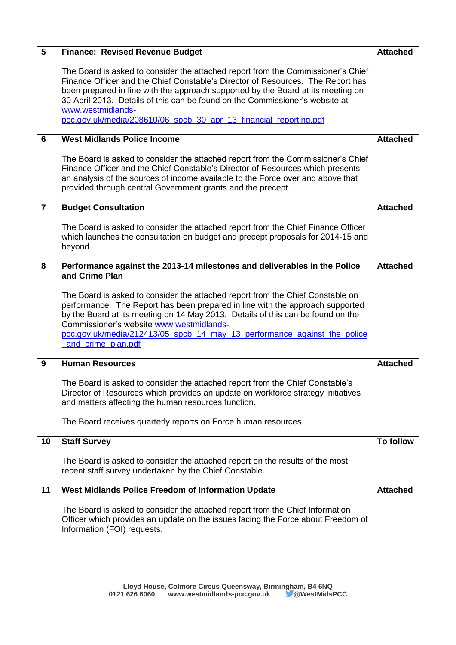| $5\phantom{a}$ | <b>Finance: Revised Revenue Budget</b>                                                                                                                                                                                                                                                                                                                                                           | <b>Attached</b> |
|----------------|--------------------------------------------------------------------------------------------------------------------------------------------------------------------------------------------------------------------------------------------------------------------------------------------------------------------------------------------------------------------------------------------------|-----------------|
|                | The Board is asked to consider the attached report from the Commissioner's Chief<br>Finance Officer and the Chief Constable's Director of Resources. The Report has<br>been prepared in line with the approach supported by the Board at its meeting on<br>30 April 2013. Details of this can be found on the Commissioner's website at<br>www.westmidlands-                                     |                 |
|                | pcc.gov.uk/media/208610/06_spcb_30_apr_13_financial_reporting.pdf                                                                                                                                                                                                                                                                                                                                |                 |
| 6              | <b>West Midlands Police Income</b>                                                                                                                                                                                                                                                                                                                                                               | <b>Attached</b> |
|                | The Board is asked to consider the attached report from the Commissioner's Chief<br>Finance Officer and the Chief Constable's Director of Resources which presents<br>an analysis of the sources of income available to the Force over and above that<br>provided through central Government grants and the precept.                                                                             |                 |
| $\overline{7}$ | <b>Budget Consultation</b>                                                                                                                                                                                                                                                                                                                                                                       | <b>Attached</b> |
|                | The Board is asked to consider the attached report from the Chief Finance Officer<br>which launches the consultation on budget and precept proposals for 2014-15 and<br>beyond.                                                                                                                                                                                                                  |                 |
| 8              | Performance against the 2013-14 milestones and deliverables in the Police<br>and Crime Plan                                                                                                                                                                                                                                                                                                      | <b>Attached</b> |
|                | The Board is asked to consider the attached report from the Chief Constable on<br>performance. The Report has been prepared in line with the approach supported<br>by the Board at its meeting on 14 May 2013. Details of this can be found on the<br>Commissioner's website www.westmidlands-<br>pcc.gov.uk/media/212413/05_spcb_14_may_13_performance_against_the_police<br>and crime plan.pdf |                 |
| 9              | <b>Human Resources</b>                                                                                                                                                                                                                                                                                                                                                                           | <b>Attached</b> |
|                | The Board is asked to consider the attached report from the Chief Constable's<br>Director of Resources which provides an update on workforce strategy initiatives<br>and matters affecting the human resources function.                                                                                                                                                                         |                 |
|                | The Board receives quarterly reports on Force human resources.                                                                                                                                                                                                                                                                                                                                   |                 |
| 10             | <b>Staff Survey</b>                                                                                                                                                                                                                                                                                                                                                                              | To follow       |
|                | The Board is asked to consider the attached report on the results of the most<br>recent staff survey undertaken by the Chief Constable.                                                                                                                                                                                                                                                          |                 |
| 11             | <b>West Midlands Police Freedom of Information Update</b>                                                                                                                                                                                                                                                                                                                                        | <b>Attached</b> |
|                | The Board is asked to consider the attached report from the Chief Information<br>Officer which provides an update on the issues facing the Force about Freedom of<br>Information (FOI) requests.                                                                                                                                                                                                 |                 |
|                |                                                                                                                                                                                                                                                                                                                                                                                                  |                 |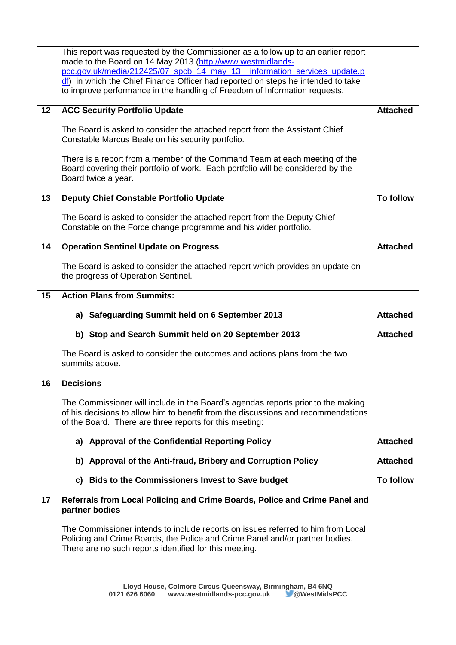|    | This report was requested by the Commissioner as a follow up to an earlier report                                                                                                                                                |                  |
|----|----------------------------------------------------------------------------------------------------------------------------------------------------------------------------------------------------------------------------------|------------------|
|    | made to the Board on 14 May 2013 (http://www.westmidlands-                                                                                                                                                                       |                  |
|    | pcc.gov.uk/media/212425/07_spcb_14_may_13_information_services_update.p<br>off) in which the Chief Finance Officer had reported on steps he intended to take                                                                     |                  |
|    | to improve performance in the handling of Freedom of Information requests.                                                                                                                                                       |                  |
|    |                                                                                                                                                                                                                                  |                  |
| 12 | <b>ACC Security Portfolio Update</b>                                                                                                                                                                                             | <b>Attached</b>  |
|    | The Board is asked to consider the attached report from the Assistant Chief<br>Constable Marcus Beale on his security portfolio.                                                                                                 |                  |
|    | There is a report from a member of the Command Team at each meeting of the<br>Board covering their portfolio of work. Each portfolio will be considered by the<br>Board twice a year.                                            |                  |
| 13 | <b>Deputy Chief Constable Portfolio Update</b>                                                                                                                                                                                   | <b>To follow</b> |
|    | The Board is asked to consider the attached report from the Deputy Chief<br>Constable on the Force change programme and his wider portfolio.                                                                                     |                  |
| 14 | <b>Operation Sentinel Update on Progress</b>                                                                                                                                                                                     | <b>Attached</b>  |
|    | The Board is asked to consider the attached report which provides an update on<br>the progress of Operation Sentinel.                                                                                                            |                  |
| 15 | <b>Action Plans from Summits:</b>                                                                                                                                                                                                |                  |
|    |                                                                                                                                                                                                                                  |                  |
|    | a) Safeguarding Summit held on 6 September 2013                                                                                                                                                                                  | <b>Attached</b>  |
|    | b) Stop and Search Summit held on 20 September 2013                                                                                                                                                                              | <b>Attached</b>  |
|    | The Board is asked to consider the outcomes and actions plans from the two<br>summits above.                                                                                                                                     |                  |
| 16 | <b>Decisions</b>                                                                                                                                                                                                                 |                  |
|    | The Commissioner will include in the Board's agendas reports prior to the making<br>of his decisions to allow him to benefit from the discussions and recommendations<br>of the Board. There are three reports for this meeting: |                  |
|    | a) Approval of the Confidential Reporting Policy                                                                                                                                                                                 | <b>Attached</b>  |
|    | b) Approval of the Anti-fraud, Bribery and Corruption Policy                                                                                                                                                                     | <b>Attached</b>  |
|    | c) Bids to the Commissioners Invest to Save budget                                                                                                                                                                               | <b>To follow</b> |
| 17 | Referrals from Local Policing and Crime Boards, Police and Crime Panel and<br>partner bodies                                                                                                                                     |                  |